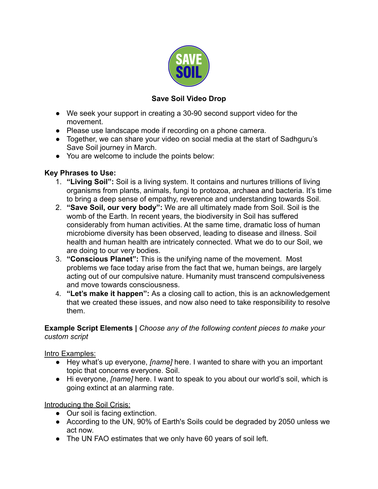

## **Save Soil Video Drop**

- We seek your support in creating a 30-90 second support video for the movement.
- Please use landscape mode if recording on a phone camera.
- Together, we can share your video on social media at the start of Sadhguru's Save Soil journey in March.
- You are welcome to include the points below:

### **Key Phrases to Use:**

- 1. **"Living Soil":** Soil is a living system. It contains and nurtures trillions of living organisms from plants, animals, fungi to protozoa, archaea and bacteria. It's time to bring a deep sense of empathy, reverence and understanding towards Soil.
- 2. **"Save Soil, our very body":** We are all ultimately made from Soil. Soil is the womb of the Earth. In recent years, the biodiversity in Soil has suffered considerably from human activities. At the same time, dramatic loss of human microbiome diversity has been observed, leading to disease and illness. Soil health and human health are intricately connected. What we do to our Soil, we are doing to our very bodies.
- 3. **"Conscious Planet":** This is the unifying name of the movement. Most problems we face today arise from the fact that we, human beings, are largely acting out of our compulsive nature. Humanity must transcend compulsiveness and move towards consciousness.
- 4. **"Let's make it happen":** As a closing call to action, this is an acknowledgement that we created these issues, and now also need to take responsibility to resolve them.

**Example Script Elements |** *Choose any of the following content pieces to make your custom script*

Intro Examples:

- Hey what's up everyone, *[name]* here. I wanted to share with you an important topic that concerns everyone. Soil.
- Hi everyone, *[name]* here. I want to speak to you about our world's soil, which is going extinct at an alarming rate.

Introducing the Soil Crisis:

- Our soil is facing extinction.
- According to the UN, 90% of Earth's Soils could be degraded by 2050 unless we act now.
- The UN FAO estimates that we only have 60 years of soil left.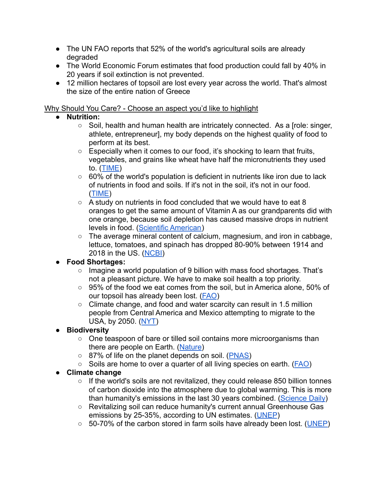- The UN FAO reports that 52% of the world's agricultural soils are already degraded
- The World Economic Forum estimates that food production could fall by 40% in 20 years if soil extinction is not prevented.
- 12 million hectares of topsoil are lost every year across the world. That's almost the size of the entire nation of Greece

#### Why Should You Care? - Choose an aspect you'd like to highlight

## ● **Nutrition:**

- Soil, health and human health are intricately connected. As a [role: singer, athlete, entrepreneur], my body depends on the highest quality of food to perform at its best.
- Especially when it comes to our food, it's shocking to learn that fruits, vegetables, and grains like wheat have half the micronutrients they used to. ([TIME](https://world.time.com/2012/12/14/what-if-the-worlds-soil-runs-out/))
- 60% of the world's population is deficient in nutrients like iron due to lack of nutrients in food and soils. If it's not in the soil, it's not in our food. ([TIME\)](https://world.time.com/2012/12/14/what-if-the-worlds-soil-runs-out/)
- $\circ$  A study on nutrients in food concluded that we would have to eat 8 oranges to get the same amount of Vitamin A as our grandparents did with one orange, because soil depletion has caused massive drops in nutrient levels in food. ([Scientific American\)](https://www.scientificamerican.com/article/soil-depletion-and-nutrition-loss/)
- The average mineral content of calcium, magnesium, and iron in cabbage, lettuce, tomatoes, and spinach has dropped 80-90% between 1914 and 2018 in the US. ([NCBI\)](https://www.ncbi.nlm.nih.gov/pmc/articles/PMC6163803/)

## **● Food Shortages:**

- **○** Imagine a world population of 9 billion with mass food shortages. That's not a pleasant picture. We have to make soil health a top priority.
- **○** 95% of the food we eat comes from the soil, but in America alone, 50% of our topsoil has already been lost. [\(FAO](https://www.fao.org/about/meetings/soil-erosion-symposium/key-messages/en/))
- Climate change, and food and water scarcity can result in 1.5 million people from Central America and Mexico attempting to migrate to the USA, by 2050. ([NYT\)](https://www.nytimes.com/interactive/2020/07/23/magazine/climate-migration.html)

# **● Biodiversity**

- One teaspoon of bare or tilled soil contains more microorganisms than there are people on Earth. ([Nature\)](https://www.nature.com/scitable/knowledge/library/the-rhizosphere-roots-soil-and-67500617/)
- 87% of life on the planet depends on soil. ([PNAS\)](https://www.pnas.org/content/115/25/6506)
- Soils are home to over a quarter of all living species on earth. ([FAO\)](https://www.fao.org/resources/digital-reports/soil-biodiversity/en/)

# **● Climate change**

- $\circ$  If the world's soils are not revitalized, they could release 850 billion tonnes of carbon dioxide into the atmosphere due to global warming. This is more than humanity's emissions in the last 30 years combined. [\(Science Daily](https://www.sciencedaily.com/releases/2020/11/201102072915.htm))
- Revitalizing soil can reduce humanity's current annual Greenhouse Gas emissions by 25-35%, according to UN estimates. ([UNEP](https://wedocs.unep.org/bitstream/handle/20.500.11822/28453/Foresight013.pdf))
- 50-70% of the carbon stored in farm soils have already been lost. ([UNEP\)](https://wedocs.unep.org/bitstream/handle/20.500.11822/28453/Foresight013.pdf)